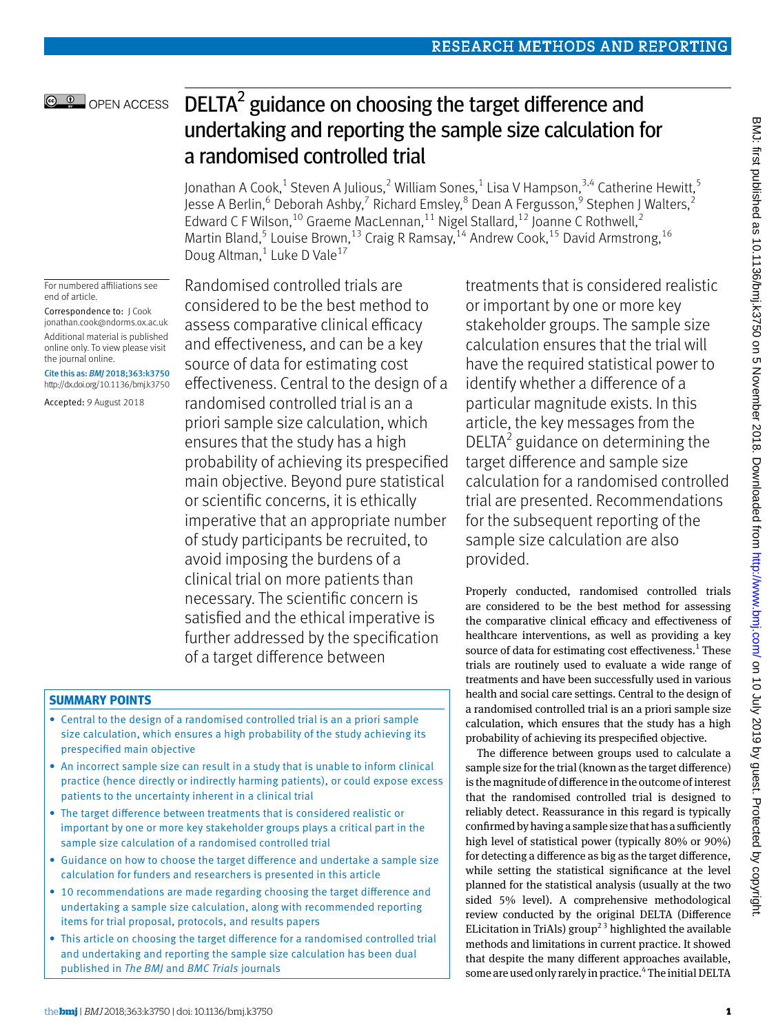# DELTA $2$  guidance on choosing the target difference and undertaking and reporting the sample size calculation for a randomised controlled trial

Jonathan A Cook, $^1$  Steven A Julious, $^2$  William Sones, $^1$  Lisa V Hampson, $^{3,4}$  Catherine Hewitt, $^5$ Jesse A Berlin,<sup>6</sup> Deborah Ashby,<sup>7</sup> Richard Emsley,<sup>8</sup> Dean A Fergusson,<sup>9</sup> Stephen J Walters,<sup>2</sup> Edward C F Wilson,<sup>10</sup> Graeme MacLennan,<sup>11</sup> Nigel Stallard,<sup>12</sup> Joanne C Rothwell,<sup>2</sup> Martin Bland,<sup>5</sup> Louise Brown,<sup>13</sup> Craig R Ramsay,<sup>14</sup> Andrew Cook,<sup>15</sup> David Armstrong,<sup>16</sup> Doug Altman,<sup>1</sup> Luke D Vale<sup>17</sup>

For numbered affiliations see end of article.

**@ 0** OPEN ACCESS

Correspondence to: J Cook [jonathan.cook@ndorms.ox.ac.uk](mailto:jonathan.cook@ndorms.ox.ac.uk) Additional material is published online only. To view please visit the journal online.

Cite this as: *BMJ* 2018;363:k3750 http://dx.doi.org/10.1136/bmj.k3750

Accepted: 9 August 2018

Randomised controlled trials are considered to be the best method to assess comparative clinical efficacy and effectiveness, and can be a key source of data for estimating cost effectiveness. Central to the design of a randomised controlled trial is an a priori sample size calculation, which ensures that the study has a high probability of achieving its prespecified main objective. Beyond pure statistical or scientific concerns, it is ethically imperative that an appropriate number of study participants be recruited, to avoid imposing the burdens of a clinical trial on more patients than necessary. The scientific concern is satisfied and the ethical imperative is further addressed by the specification of a target difference between

## **Summary points**

- Central to the design of a randomised controlled trial is an a priori sample size calculation, which ensures a high probability of the study achieving its prespecified main objective
- An incorrect sample size can result in a study that is unable to inform clinical practice (hence directly or indirectly harming patients), or could expose excess patients to the uncertainty inherent in a clinical trial
- The target difference between treatments that is considered realistic or important by one or more key stakeholder groups plays a critical part in the sample size calculation of a randomised controlled trial
- Guidance on how to choose the target difference and undertake a sample size calculation for funders and researchers is presented in this article
- 10 recommendations are made regarding choosing the target difference and undertaking a sample size calculation, along with recommended reporting items for trial proposal, protocols, and results papers
- This article on choosing the target difference for a randomised controlled trial and undertaking and reporting the sample size calculation has been dual published in *The BMJ* and *BMC Trials* journals

treatments that is considered realistic or important by one or more key stakeholder groups. The sample size calculation ensures that the trial will have the required statistical power to identify whether a difference of a particular magnitude exists. In this article, the key messages from the  $DELTA<sup>2</sup>$  guidance on determining the target difference and sample size calculation for a randomised controlled trial are presented. Recommendations for the subsequent reporting of the sample size calculation are also provided.

Properly conducted, randomised controlled trials are considered to be the best method for assessing the comparative clinical efficacy and effectiveness of healthcare interventions, as well as providing a key source of data for estimating cost effectiveness.<sup>1</sup> These trials are routinely used to evaluate a wide range of treatments and have been successfully used in various health and social care settings. Central to the design of a randomised controlled trial is an a priori sample size calculation, which ensures that the study has a high probability of achieving its prespecified objective.

The difference between groups used to calculate a sample size for the trial (known as the target difference) is the magnitude of difference in the outcome of interest that the randomised controlled trial is designed to reliably detect. Reassurance in this regard is typically confirmed by having a sample size that has a sufficiently high level of statistical power (typically 80% or 90%) for detecting a difference as big as the target difference, while setting the statistical significance at the level planned for the statistical analysis (usually at the two sided 5% level). A comprehensive methodological review conducted by the original DELTA (Difference ELicitation in TriAls) group<sup>23</sup> highlighted the available methods and limitations in current practice. It showed that despite the many different approaches available, some are used only rarely in practice.<sup>4</sup> The initial DELTA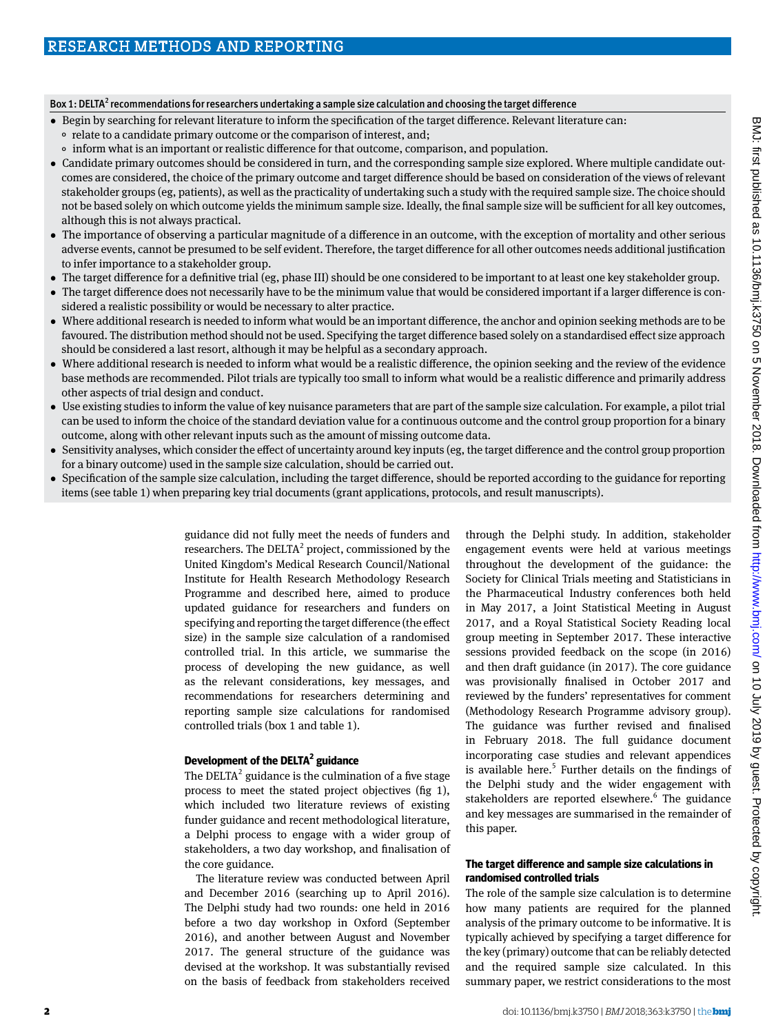#### Box 1: DELTA<sup>2</sup> recommendations for researchers undertaking a sample size calculation and choosing the target difference

- •  Begin by searching for relevant literature to inform the specification of the target difference. Relevant literature can:
	- °  relate to a candidate primary outcome or the comparison of interest, and;
	- °  inform what is an important or realistic difference for that outcome, comparison, and population.
- •  Candidate primary outcomes should be considered in turn, and the corresponding sample size explored. Where multiple candidate outcomes are considered, the choice of the primary outcome and target difference should be based on consideration of the views of relevant stakeholder groups (eg, patients), as well as the practicality of undertaking such a study with the required sample size. The choice should not be based solely on which outcome yields the minimum sample size. Ideally, the final sample size will be sufficient for all key outcomes, although this is not always practical.
- •  The importance of observing a particular magnitude of a difference in an outcome, with the exception of mortality and other serious adverse events, cannot be presumed to be self evident. Therefore, the target difference for all other outcomes needs additional justification to infer importance to a stakeholder group.
- •  The target difference for a definitive trial (eg, phase III) should be one considered to be important to at least one key stakeholder group.
- The target difference does not necessarily have to be the minimum value that would be considered important if a larger difference is considered a realistic possibility or would be necessary to alter practice.
- •  Where additional research is needed to inform what would be an important difference, the anchor and opinion seeking methods are to be favoured. The distribution method should not be used. Specifying the target difference based solely on a standardised effect size approach should be considered a last resort, although it may be helpful as a secondary approach.
- Where additional research is needed to inform what would be a realistic difference, the opinion seeking and the review of the evidence base methods are recommended. Pilot trials are typically too small to inform what would be a realistic difference and primarily address other aspects of trial design and conduct.
- Use existing studies to inform the value of key nuisance parameters that are part of the sample size calculation. For example, a pilot trial can be used to inform the choice of the standard deviation value for a continuous outcome and the control group proportion for a binary outcome, along with other relevant inputs such as the amount of missing outcome data.
- Sensitivity analyses, which consider the effect of uncertainty around key inputs (eg, the target difference and the control group proportion for a binary outcome) used in the sample size calculation, should be carried out.
- •  Specification of the sample size calculation, including the target difference, should be reported according to the guidance for reporting items (see table 1) when preparing key trial documents (grant applications, protocols, and result manuscripts).

guidance did not fully meet the needs of funders and researchers. The DELTA<sup>2</sup> project, commissioned by the United Kingdom's Medical Research Council/National Institute for Health Research Methodology Research Programme and described here, aimed to produce updated guidance for researchers and funders on specifying and reporting the target difference (the effect size) in the sample size calculation of a randomised controlled trial. In this article, we summarise the process of developing the new guidance, as well as the relevant considerations, key messages, and recommendations for researchers determining and reporting sample size calculations for randomised controlled trials (box 1 and table 1).

### **Development of the DELTA <sup>2</sup> guidance**

The DELTA<sup>2</sup> guidance is the culmination of a five stage process to meet the stated project objectives (fig 1), which included two literature reviews of existing funder guidance and recent methodological literature, a Delphi process to engage with a wider group of stakeholders, a two day workshop, and finalisation of the core guidance.

The literature review was conducted between April and December 2016 (searching up to April 2016). The Delphi study had two rounds: one held in 2016 before a two day workshop in Oxford (September 2016), and another between August and November 2017. The general structure of the guidance was devised at the workshop. It was substantially revised on the basis of feedback from stakeholders received

through the Delphi study. In addition, stakeholder engagement events were held at various meetings throughout the development of the guidance: the Society for Clinical Trials meeting and Statisticians in the Pharmaceutical Industry conferences both held in May 2017, a Joint Statistical Meeting in August 2017, and a Royal Statistical Society Reading local group meeting in September 2017. These interactive sessions provided feedback on the scope (in 2016) and then draft guidance (in 2017). The core guidance was provisionally finalised in October 2017 and reviewed by the funders' representatives for comment (Methodology Research Programme advisory group). The guidance was further revised and finalised in February 2018. The full guidance document incorporating case studies and relevant appendices is available here. $5$  Further details on the findings of the Delphi study and the wider engagement with stakeholders are reported elsewhere.<sup>6</sup> The guidance and key messages are summarised in the remainder of this paper.

### **The target difference and sample size calculations in randomised controlled trials**

The role of the sample size calculation is to determine how many patients are required for the planned analysis of the primary outcome to be informative. It is typically achieved by specifying a target difference for the key (primary) outcome that can be reliably detected and the required sample size calculated. In this summary paper, we restrict considerations to the most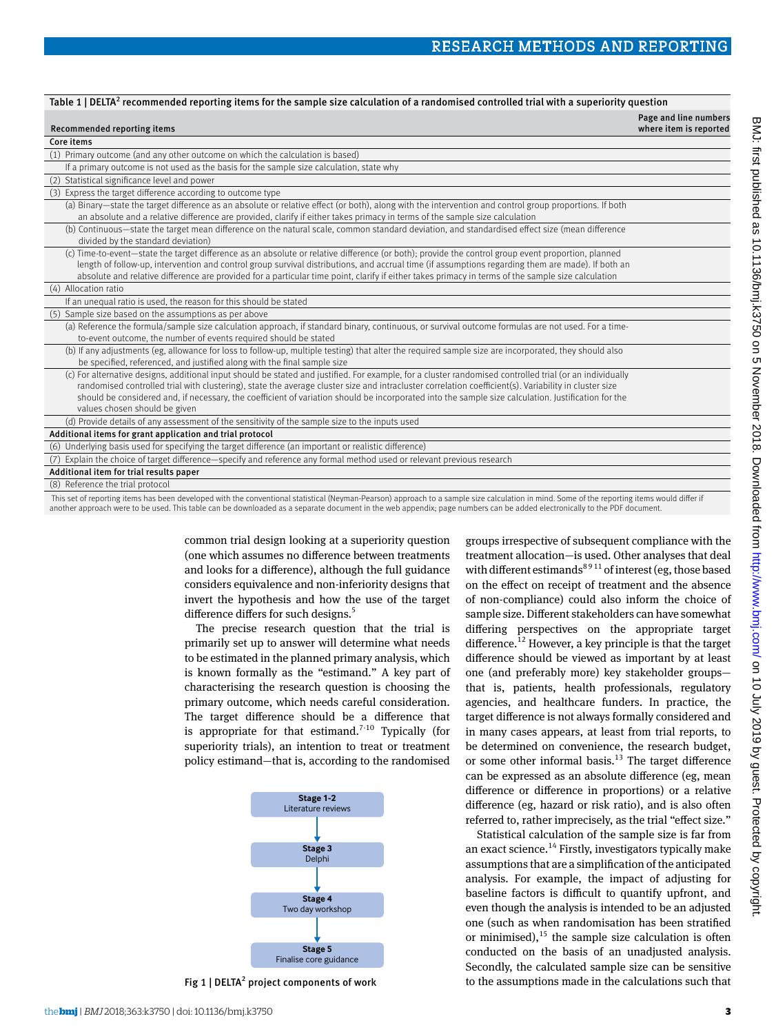| Table 1   DELTA <sup>2</sup> recommended reporting items for the sample size calculation of a randomised controlled trial with a superiority question                                                                                                                                                                                                                                                                                                                                                     |                                                 |
|-----------------------------------------------------------------------------------------------------------------------------------------------------------------------------------------------------------------------------------------------------------------------------------------------------------------------------------------------------------------------------------------------------------------------------------------------------------------------------------------------------------|-------------------------------------------------|
| Recommended reporting items                                                                                                                                                                                                                                                                                                                                                                                                                                                                               | Page and line numbers<br>where item is reported |
| Core items                                                                                                                                                                                                                                                                                                                                                                                                                                                                                                |                                                 |
| (1) Primary outcome (and any other outcome on which the calculation is based)                                                                                                                                                                                                                                                                                                                                                                                                                             |                                                 |
| If a primary outcome is not used as the basis for the sample size calculation, state why                                                                                                                                                                                                                                                                                                                                                                                                                  |                                                 |
| (2) Statistical significance level and power                                                                                                                                                                                                                                                                                                                                                                                                                                                              |                                                 |
| (3) Express the target difference according to outcome type                                                                                                                                                                                                                                                                                                                                                                                                                                               |                                                 |
| (a) Binary-state the target difference as an absolute or relative effect (or both), along with the intervention and control group proportions. If both<br>an absolute and a relative difference are provided, clarify if either takes primacy in terms of the sample size calculation                                                                                                                                                                                                                     |                                                 |
| (b) Continuous—state the target mean difference on the natural scale, common standard deviation, and standardised effect size (mean difference<br>divided by the standard deviation)                                                                                                                                                                                                                                                                                                                      |                                                 |
| (c) Time-to-event—state the target difference as an absolute or relative difference (or both); provide the control group event proportion, planned<br>length of follow-up, intervention and control group survival distributions, and accrual time (if assumptions regarding them are made). If both an<br>absolute and relative difference are provided for a particular time point, clarify if either takes primacy in terms of the sample size calculation                                             |                                                 |
| (4) Allocation ratio                                                                                                                                                                                                                                                                                                                                                                                                                                                                                      |                                                 |
| If an unequal ratio is used, the reason for this should be stated                                                                                                                                                                                                                                                                                                                                                                                                                                         |                                                 |
| (5) Sample size based on the assumptions as per above                                                                                                                                                                                                                                                                                                                                                                                                                                                     |                                                 |
| (a) Reference the formula/sample size calculation approach, if standard binary, continuous, or survival outcome formulas are not used. For a time-<br>to-event outcome, the number of events required should be stated                                                                                                                                                                                                                                                                                    |                                                 |
| (b) If any adjustments (eg, allowance for loss to follow-up, multiple testing) that alter the required sample size are incorporated, they should also<br>be specified, referenced, and justified along with the final sample size                                                                                                                                                                                                                                                                         |                                                 |
| (c) For alternative designs, additional input should be stated and justified. For example, for a cluster randomised controlled trial (or an individually<br>randomised controlled trial with clustering), state the average cluster size and intracluster correlation coefficient(s). Variability in cluster size<br>should be considered and, if necessary, the coefficient of variation should be incorporated into the sample size calculation. Justification for the<br>values chosen should be given |                                                 |
| (d) Provide details of any assessment of the sensitivity of the sample size to the inputs used                                                                                                                                                                                                                                                                                                                                                                                                            |                                                 |
| Additional items for grant application and trial protocol                                                                                                                                                                                                                                                                                                                                                                                                                                                 |                                                 |
| (6) Underlying basis used for specifying the target difference (an important or realistic difference)                                                                                                                                                                                                                                                                                                                                                                                                     |                                                 |
| (7) Explain the choice of target difference—specify and reference any formal method used or relevant previous research                                                                                                                                                                                                                                                                                                                                                                                    |                                                 |
| Additional item for trial results paper                                                                                                                                                                                                                                                                                                                                                                                                                                                                   |                                                 |
| (8) Reference the trial protocol                                                                                                                                                                                                                                                                                                                                                                                                                                                                          |                                                 |
|                                                                                                                                                                                                                                                                                                                                                                                                                                                                                                           |                                                 |

 This set of reporting items has been developed with the conventional statistical (Neyman-Pearson) approach to a sample size calculation in mind. Some of the reporting items would differ if another approach were to be used. This table can be downloaded as a separate document in the web appendix; page numbers can be added electronically to the PDF document.

> common trial design looking at a superiority question (one which assumes no difference between treatments and looks for a difference), although the full guidance considers equivalence and non-inferiority designs that invert the hypothesis and how the use of the target difference differs for such designs.<sup>5</sup>

The precise research question that the trial is primarily set up to answer will determine what needs to be estimated in the planned primary analysis, which is known formally as the "estimand." A key part of characterising the research question is choosing the primary outcome, which needs careful consideration. The target difference should be a difference that is appropriate for that estimand.<sup>7-10</sup> Typically (for superiority trials), an intention to treat or treatment policy estimand—that is, according to the randomised



Fig 1 | DELTA<sup>2</sup> project components of work

groups irrespective of subsequent compliance with the treatment allocation—is used. Other analyses that deal with different estimands<sup>8911</sup> of interest (eg, those based on the effect on receipt of treatment and the absence of non-compliance) could also inform the choice of sample size. Different stakeholders can have somewhat differing perspectives on the appropriate target difference.<sup>12</sup> However, a key principle is that the target difference should be viewed as important by at least one (and preferably more) key stakeholder groups that is, patients, health professionals, regulatory agencies, and healthcare funders. In practice, the target difference is not always formally considered and in many cases appears, at least from trial reports, to be determined on convenience, the research budget, or some other informal basis. $13$  The target difference can be expressed as an absolute difference (eg, mean difference or difference in proportions) or a relative difference (eg, hazard or risk ratio), and is also often referred to, rather imprecisely, as the trial "effect size."

Statistical calculation of the sample size is far from an exact science.<sup>14</sup> Firstly, investigators typically make assumptions that are a simplification of the anticipated analysis. For example, the impact of adjusting for baseline factors is difficult to quantify upfront, and even though the analysis is intended to be an adjusted one (such as when randomisation has been stratified or minimised), $^{15}$  the sample size calculation is often conducted on the basis of an unadjusted analysis. Secondly, the calculated sample size can be sensitive to the assumptions made in the calculations such that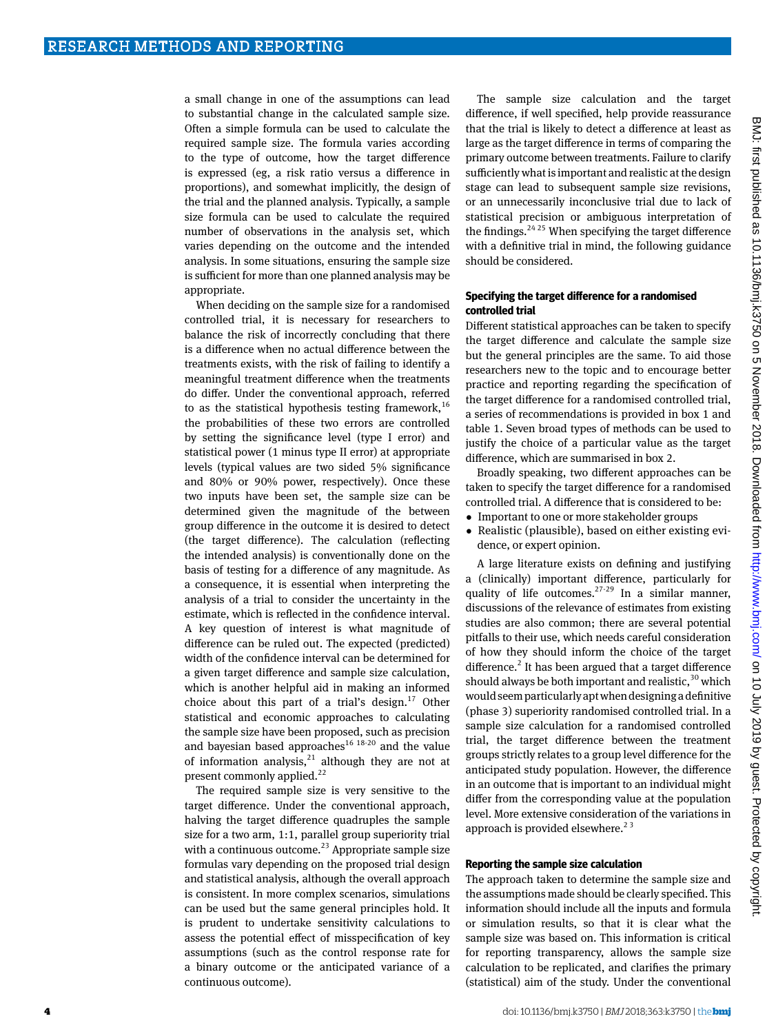a small change in one of the assumptions can lead to substantial change in the calculated sample size. Often a simple formula can be used to calculate the required sample size. The formula varies according to the type of outcome, how the target difference is expressed (eg, a risk ratio versus a difference in proportions), and somewhat implicitly, the design of the trial and the planned analysis. Typically, a sample size formula can be used to calculate the required number of observations in the analysis set, which varies depending on the outcome and the intended analysis. In some situations, ensuring the sample size is sufficient for more than one planned analysis may be appropriate.

When deciding on the sample size for a randomised controlled trial, it is necessary for researchers to balance the risk of incorrectly concluding that there is a difference when no actual difference between the treatments exists, with the risk of failing to identify a meaningful treatment difference when the treatments do differ. Under the conventional approach, referred to as the statistical hypothesis testing framework,  $16$ the probabilities of these two errors are controlled by setting the significance level (type I error) and statistical power (1 minus type II error) at appropriate levels (typical values are two sided 5% significance and 80% or 90% power, respectively). Once these two inputs have been set, the sample size can be determined given the magnitude of the between group difference in the outcome it is desired to detect (the target difference). The calculation (reflecting the intended analysis) is conventionally done on the basis of testing for a difference of any magnitude. As a consequence, it is essential when interpreting the analysis of a trial to consider the uncertainty in the estimate, which is reflected in the confidence interval. A key question of interest is what magnitude of difference can be ruled out. The expected (predicted) width of the confidence interval can be determined for a given target difference and sample size calculation, which is another helpful aid in making an informed choice about this part of a trial's design. $^{17}$  Other statistical and economic approaches to calculating the sample size have been proposed, such as precision and bayesian based approaches<sup>16 18-20</sup> and the value of information analysis, $21$  although they are not at present commonly applied.<sup>22</sup>

The required sample size is very sensitive to the target difference. Under the conventional approach, halving the target difference quadruples the sample size for a two arm, 1:1, parallel group superiority trial with a continuous outcome.<sup>23</sup> Appropriate sample size formulas vary depending on the proposed trial design and statistical analysis, although the overall approach is consistent. In more complex scenarios, simulations can be used but the same general principles hold. It is prudent to undertake sensitivity calculations to assess the potential effect of misspecification of key assumptions (such as the control response rate for a binary outcome or the anticipated variance of a continuous outcome).

The sample size calculation and the target difference, if well specified, help provide reassurance that the trial is likely to detect a difference at least as large as the target difference in terms of comparing the primary outcome between treatments. Failure to clarify sufficiently what is important and realistic at the design stage can lead to subsequent sample size revisions, or an unnecessarily inconclusive trial due to lack of statistical precision or ambiguous interpretation of the findings.<sup>24,25</sup> When specifying the target difference with a definitive trial in mind, the following guidance should be considered.

#### **Specifying the target difference for a randomised controlled trial**

Different statistical approaches can be taken to specify the target difference and calculate the sample size but the general principles are the same. To aid those researchers new to the topic and to encourage better practice and reporting regarding the specification of the target difference for a randomised controlled trial, a series of recommendations is provided in box 1 and table 1. Seven broad types of methods can be used to justify the choice of a particular value as the target difference, which are summarised in box 2.

Broadly speaking, two different approaches can be taken to specify the target difference for a randomised controlled trial. A difference that is considered to be:

- Important to one or more stakeholder groups
- Realistic (plausible), based on either existing evidence, or expert opinion.

A large literature exists on defining and justifying a (clinically) important difference, particularly for quality of life outcomes.<sup>27-29</sup> In a similar manner, discussions of the relevance of estimates from existing studies are also common; there are several potential pitfalls to their use, which needs careful consideration of how they should inform the choice of the target difference.<sup>2</sup> It has been argued that a target difference should always be both important and realistic,  $30$  which would seem particularly apt when designing a definitive (phase 3) superiority randomised controlled trial. In a sample size calculation for a randomised controlled trial, the target difference between the treatment groups strictly relates to a group level difference for the anticipated study population. However, the difference in an outcome that is important to an individual might differ from the corresponding value at the population level. More extensive consideration of the variations in approach is provided elsewhere.<sup>23</sup>

#### **Reporting the sample size calculation**

The approach taken to determine the sample size and the assumptions made should be clearly specified. This information should include all the inputs and formula or simulation results, so that it is clear what the sample size was based on. This information is critical for reporting transparency, allows the sample size calculation to be replicated, and clarifies the primary (statistical) aim of the study. Under the conventional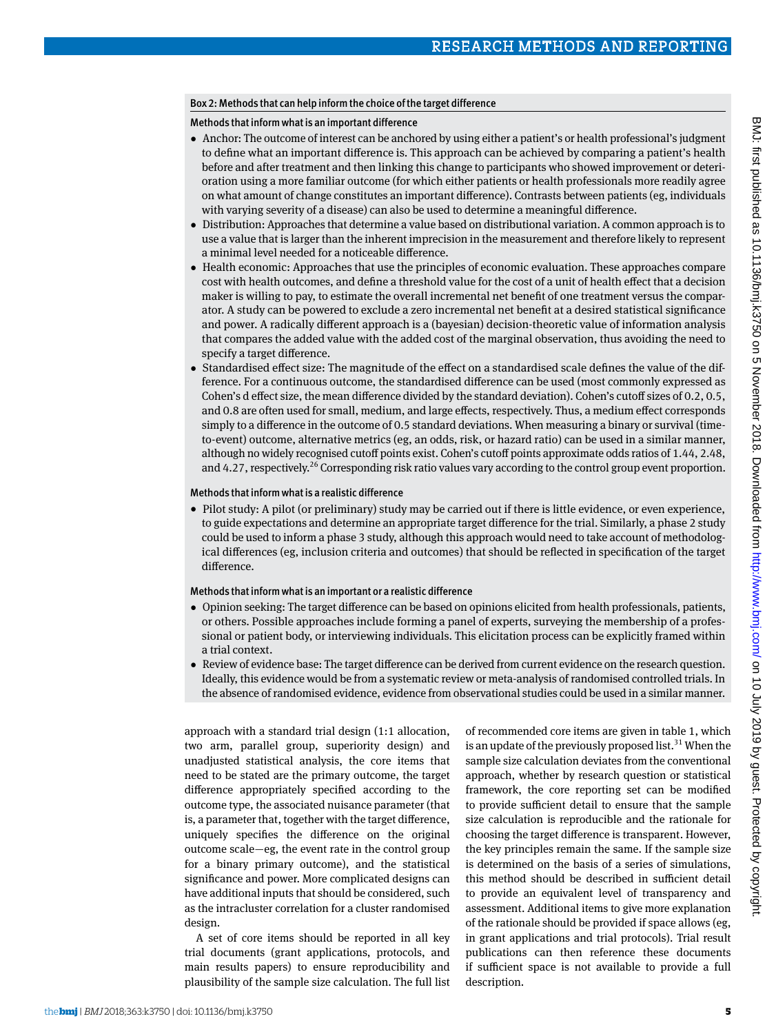## Box 2: Methods that can help inform the choice of the target difference

Methods that inform what is an important difference

- •  Anchor: The outcome of interest can be anchored by using either a patient's or health professional's judgment to define what an important difference is. This approach can be achieved by comparing a patient's health before and after treatment and then linking this change to participants who showed improvement or deterioration using a more familiar outcome (for which either patients or health professionals more readily agree on what amount of change constitutes an important difference). Contrasts between patients (eg, individuals with varying severity of a disease) can also be used to determine a meaningful difference.
- •  Distribution: Approaches that determine a value based on distributional variation. A common approach is to use a value that is larger than the inherent imprecision in the measurement and therefore likely to represent a minimal level needed for a noticeable difference.
- Health economic: Approaches that use the principles of economic evaluation. These approaches compare cost with health outcomes, and define a threshold value for the cost of a unit of health effect that a decision maker is willing to pay, to estimate the overall incremental net benefit of one treatment versus the comparator. A study can be powered to exclude a zero incremental net benefit at a desired statistical significance and power. A radically different approach is a (bayesian) decision-theoretic value of information analysis that compares the added value with the added cost of the marginal observation, thus avoiding the need to specify a target difference.
- •  Standardised effect size: The magnitude of the effect on a standardised scale defines the value of the difference. For a continuous outcome, the standardised difference can be used (most commonly expressed as Cohen's d effect size, the mean difference divided by the standard deviation). Cohen's cutoff sizes of 0.2, 0.5, and 0.8 are often used for small, medium, and large effects, respectively. Thus, a medium effect corresponds simply to a difference in the outcome of 0.5 standard deviations. When measuring a binary or survival (timeto-event) outcome, alternative metrics (eg, an odds, risk, or hazard ratio) can be used in a similar manner, although no widely recognised cutoff points exist. Cohen's cutoff points approximate odds ratios of 1.44, 2.48, and 4.27, respectively.<sup>26</sup> Corresponding risk ratio values vary according to the control group event proportion.

## Methods that inform what is a realistic difference

• Pilot study: A pilot (or preliminary) study may be carried out if there is little evidence, or even experience, to guide expectations and determine an appropriate target difference for the trial. Similarly, a phase 2 study could be used to inform a phase 3 study, although this approach would need to take account of methodological differences (eg, inclusion criteria and outcomes) that should be reflected in specification of the target difference.

## Methods that inform what is an important or a realistic difference

- •  Opinion seeking: The target difference can be based on opinions elicited from health professionals, patients, or others. Possible approaches include forming a panel of experts, surveying the membership of a professional or patient body, or interviewing individuals. This elicitation process can be explicitly framed within a trial context.
- •  Review of evidence base: The target difference can be derived from current evidence on the research question. Ideally, this evidence would be from a systematic review or meta-analysis of randomised controlled trials. In the absence of randomised evidence, evidence from observational studies could be used in a similar manner.

approach with a standard trial design (1:1 allocation, two arm, parallel group, superiority design) and unadjusted statistical analysis, the core items that need to be stated are the primary outcome, the target difference appropriately specified according to the outcome type, the associated nuisance parameter (that is, a parameter that, together with the target difference, uniquely specifies the difference on the original outcome scale—eg, the event rate in the control group for a binary primary outcome), and the statistical significance and power. More complicated designs can have additional inputs that should be considered, such as the intracluster correlation for a cluster randomised design.

A set of core items should be reported in all key trial documents (grant applications, protocols, and main results papers) to ensure reproducibility and plausibility of the sample size calculation. The full list of recommended core items are given in table 1, which is an update of the previously proposed list.<sup>31</sup> When the sample size calculation deviates from the conventional approach, whether by research question or statistical framework, the core reporting set can be modified to provide sufficient detail to ensure that the sample size calculation is reproducible and the rationale for choosing the target difference is transparent. However, the key principles remain the same. If the sample size is determined on the basis of a series of simulations, this method should be described in sufficient detail to provide an equivalent level of transparency and assessment. Additional items to give more explanation of the rationale should be provided if space allows (eg, in grant applications and trial protocols). Trial result publications can then reference these documents if sufficient space is not available to provide a full description.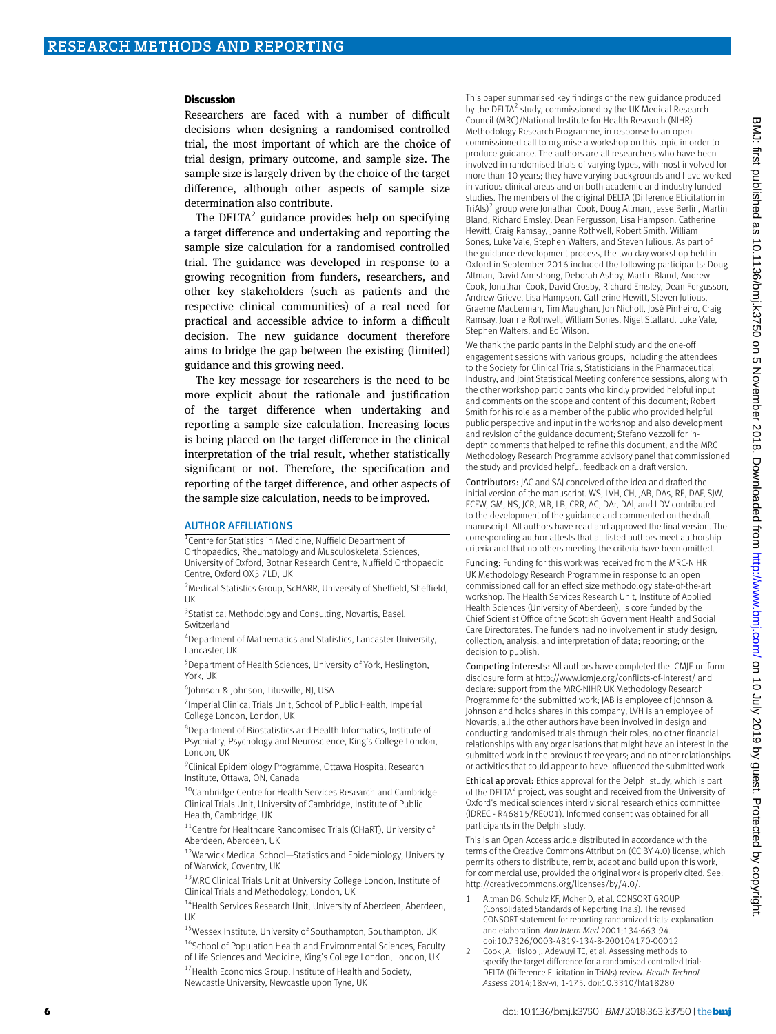#### **Discussion**

Researchers are faced with a number of difficult decisions when designing a randomised controlled trial, the most important of which are the choice of trial design, primary outcome, and sample size. The sample size is largely driven by the choice of the target difference, although other aspects of sample size determination also contribute.

The  $DELTA<sup>2</sup>$  guidance provides help on specifying a target difference and undertaking and reporting the sample size calculation for a randomised controlled trial. The guidance was developed in response to a growing recognition from funders, researchers, and other key stakeholders (such as patients and the respective clinical communities) of a real need for practical and accessible advice to inform a difficult decision. The new guidance document therefore aims to bridge the gap between the existing (limited) guidance and this growing need.

The key message for researchers is the need to be more explicit about the rationale and justification of the target difference when undertaking and reporting a sample size calculation. Increasing focus is being placed on the target difference in the clinical interpretation of the trial result, whether statistically significant or not. Therefore, the specification and reporting of the target difference, and other aspects of the sample size calculation, needs to be improved.

#### AUTHOR AFFILIATIONS

<sup>1</sup> Centre for Statistics in Medicine, Nuffield Department of

Orthopaedics, Rheumatology and Musculoskeletal Sciences, University of Oxford, Botnar Research Centre, Nuffield Orthopaedic Centre, Oxford OX3 7LD, UK

<sup>2</sup> Medical Statistics Group, ScHARR, University of Sheffield, Sheffield, UK

<sup>3</sup> Statistical Methodology and Consulting, Novartis, Basel, Switzerland

4 Department of Mathematics and Statistics, Lancaster University, Lancaster, UK

5 Department of Health Sciences, University of York, Heslington, York, UK

6 Johnson & Johnson, Titusville, NJ, USA

<sup>7</sup> Imperial Clinical Trials Unit, School of Public Health, Imperial College London, London, UK

8 Department of Biostatistics and Health Informatics, Institute of Psychiatry, Psychology and Neuroscience, King's College London, London, UK

<sup>9</sup> Clinical Epidemiology Programme, Ottawa Hospital Research Institute, Ottawa, ON, Canada

<sup>10</sup>Cambridge Centre for Health Services Research and Cambridge Clinical Trials Unit, University of Cambridge, Institute of Public Health, Cambridge, UK

<sup>11</sup>Centre for Healthcare Randomised Trials (CHaRT), University of Aberdeen, Aberdeen, UK

<sup>12</sup>Warwick Medical School-Statistics and Epidemiology, University of Warwick, Coventry, UK

13MRC Clinical Trials Unit at University College London, Institute of Clinical Trials and Methodology, London, UK

<sup>14</sup> Health Services Research Unit, University of Aberdeen, Aberdeen, UK

15Wessex Institute, University of Southampton, Southampton, UK <sup>16</sup>School of Population Health and Environmental Sciences, Faculty of Life Sciences and Medicine, King's College London, London, UK <sup>17</sup> Health Economics Group, Institute of Health and Society, Newcastle University, Newcastle upon Tyne, UK

This paper summarised key findings of the new guidance produced by the DELTA<sup>2</sup> study, commissioned by the UK Medical Research Council (MRC)/National Institute for Health Research (NIHR) Methodology Research Programme, in response to an open commissioned call to organise a workshop on this topic in order to produce guidance. The authors are all researchers who have been involved in randomised trials of varying types, with most involved for more than 10 years; they have varying backgrounds and have worked in various clinical areas and on both academic and industry funded studies. The members of the original DELTA (Difference ELicitation in TriAls)<sup>2</sup> group were Jonathan Cook, Doug Altman, Jesse Berlin, Martin Bland, Richard Emsley, Dean Fergusson, Lisa Hampson, Catherine Hewitt, Craig Ramsay, Joanne Rothwell, Robert Smith, William Sones, Luke Vale, Stephen Walters, and Steven Julious. As part of the guidance development process, the two day workshop held in Oxford in September 2016 included the following participants: Doug Altman, David Armstrong, Deborah Ashby, Martin Bland, Andrew Cook, Jonathan Cook, David Crosby, Richard Emsley, Dean Fergusson, Andrew Grieve, Lisa Hampson, Catherine Hewitt, Steven Julious, Graeme MacLennan, Tim Maughan, Jon Nicholl, José Pinheiro, Craig Ramsay, Joanne Rothwell, William Sones, Nigel Stallard, Luke Vale, Stephen Walters, and Ed Wilson.

We thank the participants in the Delphi study and the one-off engagement sessions with various groups, including the attendees to the Society for Clinical Trials, Statisticians in the Pharmaceutical Industry, and Joint Statistical Meeting conference sessions, along with the other workshop participants who kindly provided helpful input and comments on the scope and content of this document; Robert Smith for his role as a member of the public who provided helpful public perspective and input in the workshop and also development and revision of the guidance document; Stefano Vezzoli for indepth comments that helped to refine this document; and the MRC Methodology Research Programme advisory panel that commissioned the study and provided helpful feedback on a draft version.

Contributors: JAC and SAJ conceived of the idea and drafted the initial version of the manuscript. WS, LVH, CH, JAB, DAs, RE, DAF, SJW, ECFW, GM, NS, JCR, MB, LB, CRR, AC, DAr, DAl, and LDV contributed to the development of the guidance and commented on the draft manuscript. All authors have read and approved the final version. The corresponding author attests that all listed authors meet authorship criteria and that no others meeting the criteria have been omitted.

Funding: Funding for this work was received from the MRC-NIHR UK Methodology Research Programme in response to an open commissioned call for an effect size methodology state-of-the-art workshop. The Health Services Research Unit, Institute of Applied Health Sciences (University of Aberdeen), is core funded by the Chief Scientist Office of the Scottish Government Health and Social Care Directorates. The funders had no involvement in study design, collection, analysis, and interpretation of data; reporting; or the decision to publish.

Competing interests: All authors have completed the ICMJE uniform disclosure form at http://www.icmje.org/conflicts-of-interest/ and declare: support from the MRC-NIHR UK Methodology Research Programme for the submitted work; JAB is employee of Johnson & Johnson and holds shares in this company; LVH is an employee of Novartis; all the other authors have been involved in design and conducting randomised trials through their roles; no other financial relationships with any organisations that might have an interest in the submitted work in the previous three years; and no other relationships or activities that could appear to have influenced the submitted work.

Ethical approval: Ethics approval for the Delphi study, which is part of the DELTA<sup>2</sup> project, was sought and received from the University of Oxford's medical sciences interdivisional research ethics committee (IDREC - R46815/RE001). Informed consent was obtained for all participants in the Delphi study.

This is an Open Access article distributed in accordance with the terms of the Creative Commons Attribution (CC BY 4.0) license, which permits others to distribute, remix, adapt and build upon this work, for commercial use, provided the original work is properly cited. See: <http://creativecommons.org/licenses/by/4.0/>.

- Altman DG, Schulz KF, Moher D, et al, CONSORT GROUP (Consolidated Standards of Reporting Trials). The revised CONSORT statement for reporting randomized trials: explanation and elaboration. *Ann Intern Med* 2001;134:663-94. doi:10.7326/0003-4819-134-8-200104170-00012
- 2 Cook JA, Hislop J, Adewuyi TE, et al. Assessing methods to specify the target difference for a randomised controlled trial: DELTA (Difference ELicitation in TriAls) review. *Health Technol Assess* 2014;18:v-vi, 1-175. doi:10.3310/hta18280